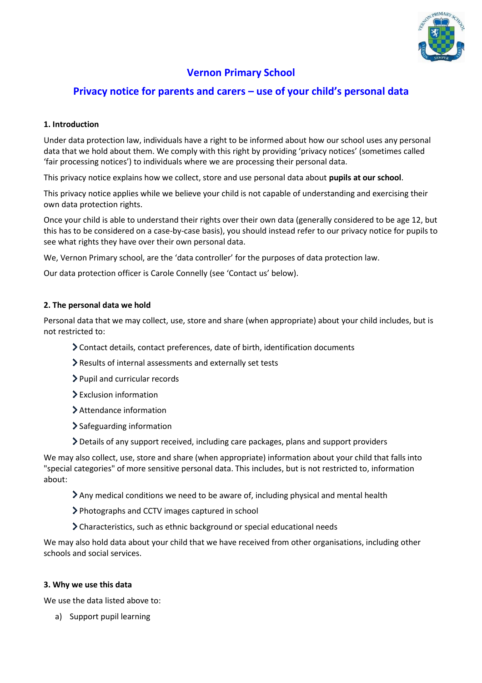

# **Vernon Primary School**

# **Privacy notice for parents and carers – use of your child's personal data**

# **1. Introduction**

Under data protection law, individuals have a right to be informed about how our school uses any personal data that we hold about them. We comply with this right by providing 'privacy notices' (sometimes called 'fair processing notices') to individuals where we are processing their personal data.

This privacy notice explains how we collect, store and use personal data about **pupils at our school**.

This privacy notice applies while we believe your child is not capable of understanding and exercising their own data protection rights.

Once your child is able to understand their rights over their own data (generally considered to be age 12, but this has to be considered on a case-by-case basis), you should instead refer to our privacy notice for pupils to see what rights they have over their own personal data.

We, Vernon Primary school, are the 'data controller' for the purposes of data protection law.

Our data protection officer is Carole Connelly (see 'Contact us' below).

# **2. The personal data we hold**

Personal data that we may collect, use, store and share (when appropriate) about your child includes, but is not restricted to:

- Contact details, contact preferences, date of birth, identification documents
- Results of internal assessments and externally set tests
- > Pupil and curricular records
- Exclusion information
- Attendance information
- > Safeguarding information
- Details of any support received, including care packages, plans and support providers

We may also collect, use, store and share (when appropriate) information about your child that falls into "special categories" of more sensitive personal data. This includes, but is not restricted to, information about:

- Any medical conditions we need to be aware of, including physical and mental health
- Photographs and CCTV images captured in school
- Characteristics, such as ethnic background or special educational needs

We may also hold data about your child that we have received from other organisations, including other schools and social services.

## **3. Why we use this data**

We use the data listed above to:

a) Support pupil learning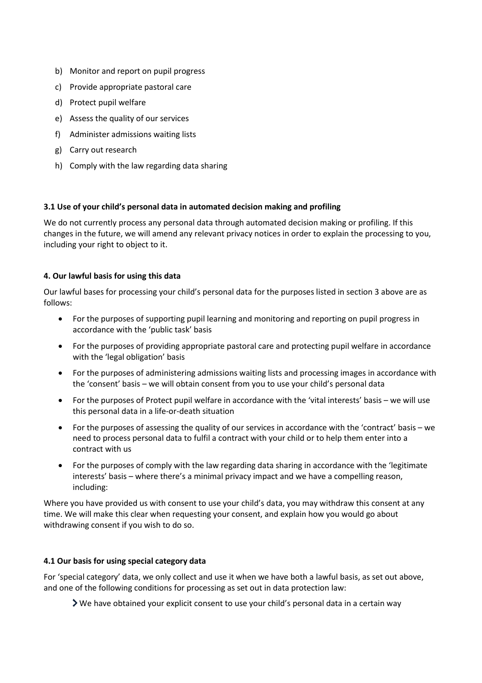- b) Monitor and report on pupil progress
- c) Provide appropriate pastoral care
- d) Protect pupil welfare
- e) Assess the quality of our services
- f) Administer admissions waiting lists
- g) Carry out research
- h) Comply with the law regarding data sharing

## **3.1 Use of your child's personal data in automated decision making and profiling**

We do not currently process any personal data through automated decision making or profiling. If this changes in the future, we will amend any relevant privacy notices in order to explain the processing to you, including your right to object to it.

## **4. Our lawful basis for using this data**

Our lawful bases for processing your child's personal data for the purposes listed in section 3 above are as follows:

- For the purposes of supporting pupil learning and monitoring and reporting on pupil progress in accordance with the 'public task' basis
- For the purposes of providing appropriate pastoral care and protecting pupil welfare in accordance with the 'legal obligation' basis
- For the purposes of administering admissions waiting lists and processing images in accordance with the 'consent' basis – we will obtain consent from you to use your child's personal data
- For the purposes of Protect pupil welfare in accordance with the 'vital interests' basis we will use this personal data in a life-or-death situation
- For the purposes of assessing the quality of our services in accordance with the 'contract' basis we need to process personal data to fulfil a contract with your child or to help them enter into a contract with us
- For the purposes of comply with the law regarding data sharing in accordance with the 'legitimate interests' basis – where there's a minimal privacy impact and we have a compelling reason, including:

Where you have provided us with consent to use your child's data, you may withdraw this consent at any time. We will make this clear when requesting your consent, and explain how you would go about withdrawing consent if you wish to do so.

## **4.1 Our basis for using special category data**

For 'special category' data, we only collect and use it when we have both a lawful basis, as set out above, and one of the following conditions for processing as set out in data protection law:

We have obtained your explicit consent to use your child's personal data in a certain way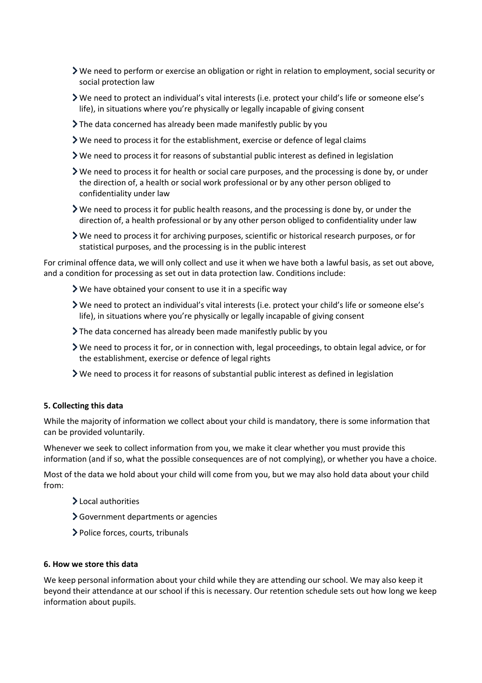- We need to perform or exercise an obligation or right in relation to employment, social security or social protection law
- We need to protect an individual's vital interests (i.e. protect your child's life or someone else's life), in situations where you're physically or legally incapable of giving consent
- $\sum$  The data concerned has already been made manifestly public by you
- We need to process it for the establishment, exercise or defence of legal claims
- $\triangleright$  We need to process it for reasons of substantial public interest as defined in legislation
- We need to process it for health or social care purposes, and the processing is done by, or under the direction of, a health or social work professional or by any other person obliged to confidentiality under law
- We need to process it for public health reasons, and the processing is done by, or under the direction of, a health professional or by any other person obliged to confidentiality under law
- We need to process it for archiving purposes, scientific or historical research purposes, or for statistical purposes, and the processing is in the public interest

For criminal offence data, we will only collect and use it when we have both a lawful basis, as set out above, and a condition for processing as set out in data protection law. Conditions include:

- We have obtained your consent to use it in a specific way
- We need to protect an individual's vital interests (i.e. protect your child's life or someone else's life), in situations where you're physically or legally incapable of giving consent
- The data concerned has already been made manifestly public by you
- We need to process it for, or in connection with, legal proceedings, to obtain legal advice, or for the establishment, exercise or defence of legal rights
- We need to process it for reasons of substantial public interest as defined in legislation

## **5. Collecting this data**

While the majority of information we collect about your child is mandatory, there is some information that can be provided voluntarily.

Whenever we seek to collect information from you, we make it clear whether you must provide this information (and if so, what the possible consequences are of not complying), or whether you have a choice.

Most of the data we hold about your child will come from you, but we may also hold data about your child from:

- > Local authorities
- Government departments or agencies
- Police forces, courts, tribunals

#### **6. How we store this data**

We keep personal information about your child while they are attending our school. We may also keep it beyond their attendance at our school if this is necessary. Our retention schedule sets out how long we keep information about pupils.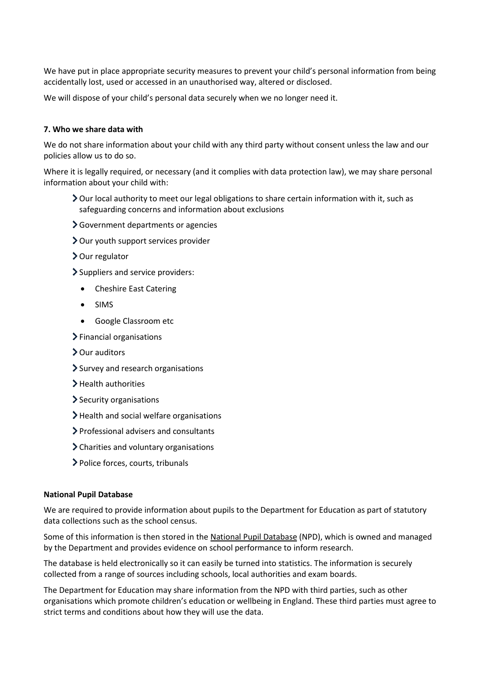We have put in place appropriate security measures to prevent your child's personal information from being accidentally lost, used or accessed in an unauthorised way, altered or disclosed.

We will dispose of your child's personal data securely when we no longer need it.

### **7. Who we share data with**

We do not share information about your child with any third party without consent unless the law and our policies allow us to do so.

Where it is legally required, or necessary (and it complies with data protection law), we may share personal information about your child with:

- Our local authority to meet our legal obligations to share certain information with it, such as safeguarding concerns and information about exclusions
- Government departments or agencies
- Our youth support services provider
- > Our regulator
- Suppliers and service providers:
	- Cheshire East Catering
	- SIMS
	- Google Classroom etc
- $\blacktriangleright$  Financial organisations
- > Our auditors
- > Survey and research organisations
- > Health authorities
- > Security organisations
- > Health and social welfare organisations
- Professional advisers and consultants
- Charities and voluntary organisations
- Police forces, courts, tribunals

#### **National Pupil Database**

We are required to provide information about pupils to the Department for Education as part of statutory data collections such as the school census.

Some of this information is then stored in th[e National Pupil Database](https://www.gov.uk/government/collections/national-pupil-database) (NPD), which is owned and managed by the Department and provides evidence on school performance to inform research.

The database is held electronically so it can easily be turned into statistics. The information is securely collected from a range of sources including schools, local authorities and exam boards.

The Department for Education may share information from the NPD with third parties, such as other organisations which promote children's education or wellbeing in England. These third parties must agree to strict terms and conditions about how they will use the data.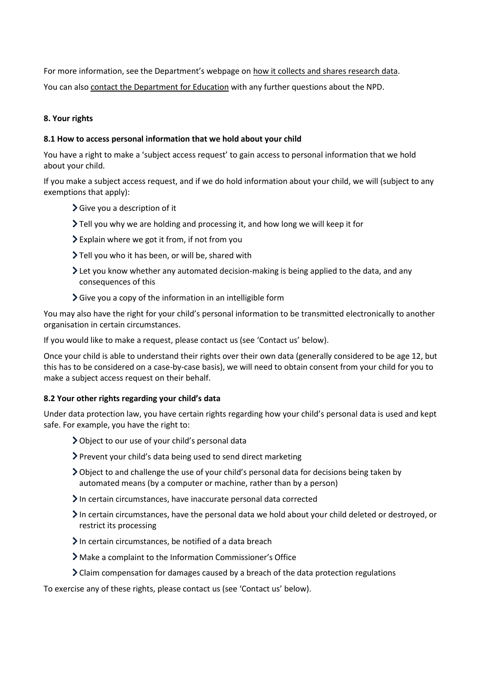For more information, see the Department's webpage on [how it collects and shares research data.](https://www.gov.uk/data-protection-how-we-collect-and-share-research-data)

You can also [contact the Department for Education](https://www.gov.uk/contact-dfe) with any further questions about the NPD.

## **8. Your rights**

## **8.1 How to access personal information that we hold about your child**

You have a right to make a 'subject access request' to gain access to personal information that we hold about your child.

If you make a subject access request, and if we do hold information about your child, we will (subject to any exemptions that apply):

- Give you a description of it
- Tell you why we are holding and processing it, and how long we will keep it for
- Explain where we got it from, if not from you
- Tell you who it has been, or will be, shared with
- Let you know whether any automated decision-making is being applied to the data, and any consequences of this
- $\sum$  Give you a copy of the information in an intelligible form

You may also have the right for your child's personal information to be transmitted electronically to another organisation in certain circumstances.

If you would like to make a request, please contact us (see 'Contact us' below).

Once your child is able to understand their rights over their own data (generally considered to be age 12, but this has to be considered on a case-by-case basis), we will need to obtain consent from your child for you to make a subject access request on their behalf.

## **8.2 Your other rights regarding your child's data**

Under data protection law, you have certain rights regarding how your child's personal data is used and kept safe. For example, you have the right to:

- Object to our use of your child's personal data
- Prevent your child's data being used to send direct marketing
- Object to and challenge the use of your child's personal data for decisions being taken by automated means (by a computer or machine, rather than by a person)
- $\sum$  In certain circumstances, have inaccurate personal data corrected
- In certain circumstances, have the personal data we hold about your child deleted or destroyed, or restrict its processing
- $\sum$  In certain circumstances, be notified of a data breach
- Make a complaint to the Information Commissioner's Office
- $\sum$  Claim compensation for damages caused by a breach of the data protection regulations

To exercise any of these rights, please contact us (see 'Contact us' below).